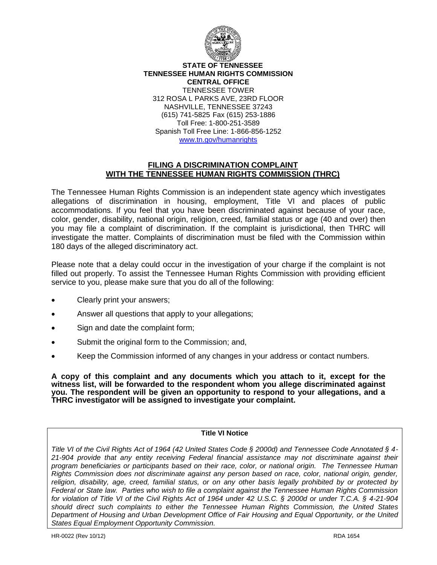

**STATE OF TENNESSEE TENNESSEE HUMAN RIGHTS COMMISSION CENTRAL OFFICE** TENNESSEE TOWER 312 ROSA L PARKS AVE, 23RD FLOOR NASHVILLE, TENNESSEE 37243 (615) 741-5825 Fax (615) 253-1886 Toll Free: 1-800-251-3589 Spanish Toll Free Line: 1-866-856-1252 www.tn.gov/humanrights

# **FILING A DISCRIMINATION COMPLAINT WITH THE TENNESSEE HUMAN RIGHTS COMMISSION (THRC)**

The Tennessee Human Rights Commission is an independent state agency which investigates allegations of discrimination in housing, employment, Title VI and places of public accommodations. If you feel that you have been discriminated against because of your race, color, gender, disability, national origin, religion, creed, familial status or age (40 and over) then you may file a complaint of discrimination. If the complaint is jurisdictional, then THRC will investigate the matter. Complaints of discrimination must be filed with the Commission within 180 days of the alleged discriminatory act.

Please note that a delay could occur in the investigation of your charge if the complaint is not filled out properly. To assist the Tennessee Human Rights Commission with providing efficient service to you, please make sure that you do all of the following:

- Clearly print your answers;
- Answer all questions that apply to your allegations;
- Sign and date the complaint form;
- Submit the original form to the Commission; and,
- Keep the Commission informed of any changes in your address or contact numbers.

**A copy of this complaint and any documents which you attach to it, except for the witness list, will be forwarded to the respondent whom you allege discriminated against you. The respondent will be given an opportunity to respond to your allegations, and a THRC investigator will be assigned to investigate your complaint.** 

## **Title VI Notice**

*Title VI of the Civil Rights Act of 1964 (42 United States Code § 2000d) and Tennessee Code Annotated § 4- 21-904 provide that any entity receiving Federal financial assistance may not discriminate against their program beneficiaries or participants based on their race, color, or national origin. The Tennessee Human Rights Commission does not discriminate against any person based on race, color, national origin, gender, religion, disability, age, creed, familial status, or on any other basis legally prohibited by or protected by Federal or State law. Parties who wish to file a complaint against the Tennessee Human Rights Commission for violation of Title VI of the Civil Rights Act of 1964 under 42 U.S.C. § 2000d or under T.C.A. § 4-21-904 should direct such complaints to either the Tennessee Human Rights Commission, the United States Department of Housing and Urban Development Office of Fair Housing and Equal Opportunity, or the United States Equal Employment Opportunity Commission.*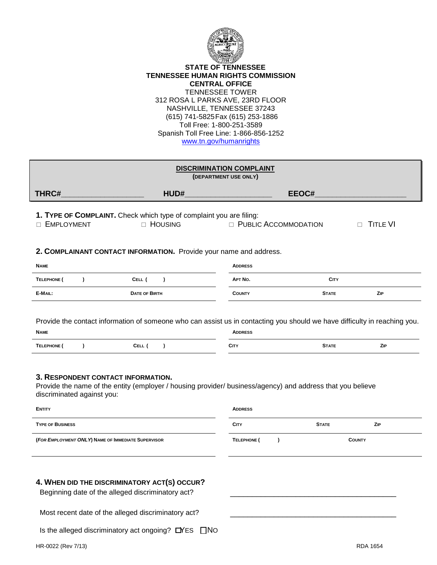

#### **STATE OF TENNESSEE TENNESSEE HUMAN RIGHTS COMMISSION CENTRAL OFFICE** TENNESSEE TOWER 312 ROSA L PARKS AVE, 23RD FLOOR NASHVILLE, TENNESSEE 37243 (615) 741-5825Fax (615) 253-1886 Toll Free: 1-800-251-3589 Spanish Toll Free Line: 1-866-856-1252 www.tn.gov/humanrights

| <b>DISCRIMINATION COMPLAINT</b><br>(DEPARTMENT USE ONLY)                                                                                                                                                                                                                                                 |                                                                                  |                               |              |                           |  |  |  |
|----------------------------------------------------------------------------------------------------------------------------------------------------------------------------------------------------------------------------------------------------------------------------------------------------------|----------------------------------------------------------------------------------|-------------------------------|--------------|---------------------------|--|--|--|
| THRC#                                                                                                                                                                                                                                                                                                    | HUD#                                                                             | EEOC#                         |              |                           |  |  |  |
| <b>EMPLOYMENT</b>                                                                                                                                                                                                                                                                                        | 1. TYPE OF COMPLAINT. Check which type of complaint you are filing:<br>□ HOUSING | <b>D</b> PUBLIC ACCOMMODATION |              | <b>TITLE VI</b><br>$\Box$ |  |  |  |
| 2. COMPLAINANT CONTACT INFORMATION. Provide your name and address.                                                                                                                                                                                                                                       |                                                                                  |                               |              |                           |  |  |  |
| <b>NAME</b>                                                                                                                                                                                                                                                                                              |                                                                                  | <b>ADDRESS</b>                |              |                           |  |  |  |
| TELEPHONE (<br>$\lambda$                                                                                                                                                                                                                                                                                 | CELL (<br>$\lambda$                                                              | APT No.                       | <b>CITY</b>  |                           |  |  |  |
| E-MAIL:                                                                                                                                                                                                                                                                                                  | <b>DATE OF BIRTH</b>                                                             | <b>COUNTY</b>                 | <b>STATE</b> | ZIP                       |  |  |  |
| <b>NAME</b><br><b>ADDRESS</b><br>TELEPHONE (<br>CELL (<br><b>CITY</b><br>ZIP<br>$\lambda$<br>$\lambda$<br><b>STATE</b><br>3. RESPONDENT CONTACT INFORMATION.<br>Provide the name of the entity (employer / housing provider/ business/agency) and address that you believe<br>discriminated against you: |                                                                                  |                               |              |                           |  |  |  |
| <b>ENTITY</b>                                                                                                                                                                                                                                                                                            |                                                                                  | <b>ADDRESS</b>                |              |                           |  |  |  |
| <b>TYPE OF BUSINESS</b>                                                                                                                                                                                                                                                                                  |                                                                                  | <b>CITY</b>                   | <b>STATE</b> | ZIP                       |  |  |  |
| (FOR EMPLOYMENT ONLY) NAME OF IMMEDIATE SUPERVISOR                                                                                                                                                                                                                                                       |                                                                                  | TELEPHONE (<br>$\lambda$      |              | <b>COUNTY</b>             |  |  |  |
| 4. WHEN DID THE DISCRIMINATORY ACT(S) OCCUR?<br>Beginning date of the alleged discriminatory act?                                                                                                                                                                                                        |                                                                                  |                               |              |                           |  |  |  |
| Most recent date of the alleged discriminatory act?                                                                                                                                                                                                                                                      |                                                                                  |                               |              |                           |  |  |  |

Most recent date of the alleged discriminatory act?

Is the alleged discriminatory act ongoing?  $\Box$ YES  $\Box$ NO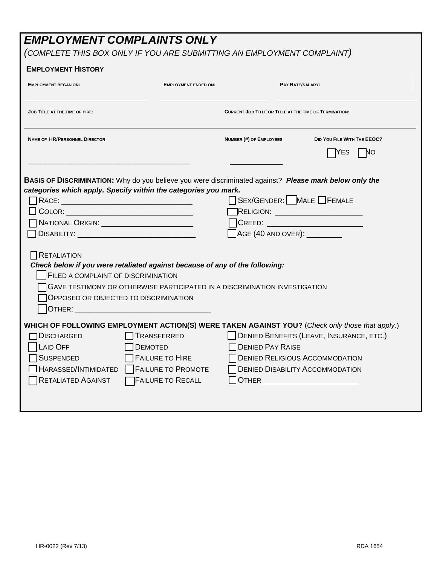# *EMPLOYMENT COMPLAINTS ONLY*

# *(COMPLETE THIS BOX ONLY IF YOU ARE SUBMITTING AN EMPLOYMENT COMPLAINT)*

| <b>EMPLOYMENT HISTORY</b>                                                                                                                                                                                                                                                                                                                                                                                                                                                                         |                                                       |                                                                                                                                                                                                                                    |                                                               |  |  |
|---------------------------------------------------------------------------------------------------------------------------------------------------------------------------------------------------------------------------------------------------------------------------------------------------------------------------------------------------------------------------------------------------------------------------------------------------------------------------------------------------|-------------------------------------------------------|------------------------------------------------------------------------------------------------------------------------------------------------------------------------------------------------------------------------------------|---------------------------------------------------------------|--|--|
| <b>EMPLOYMENT BEGAN ON:</b>                                                                                                                                                                                                                                                                                                                                                                                                                                                                       | <b>EMPLOYMENT ENDED ON:</b>                           |                                                                                                                                                                                                                                    | <b>PAY RATE/SALARY:</b>                                       |  |  |
| <b>JOB TITLE AT THE TIME OF HIRE:</b>                                                                                                                                                                                                                                                                                                                                                                                                                                                             |                                                       |                                                                                                                                                                                                                                    | <b>CURRENT JOB TITLE OR TITLE AT THE TIME OF TERMINATION:</b> |  |  |
| <b>NAME OF HR/PERSONNEL DIRECTOR</b>                                                                                                                                                                                                                                                                                                                                                                                                                                                              |                                                       | <b>NUMBER (#) OF EMPLOYEES</b>                                                                                                                                                                                                     | DID YOU FILE WITH THE EEOC?<br>IYES<br>NO.                    |  |  |
| BASIS OF DISCRIMINATION: Why do you believe you were discriminated against? Please mark below only the                                                                                                                                                                                                                                                                                                                                                                                            |                                                       |                                                                                                                                                                                                                                    |                                                               |  |  |
| categories which apply. Specify within the categories you mark.                                                                                                                                                                                                                                                                                                                                                                                                                                   |                                                       | SEX/GENDER: MALE FEMALE                                                                                                                                                                                                            |                                                               |  |  |
|                                                                                                                                                                                                                                                                                                                                                                                                                                                                                                   |                                                       |                                                                                                                                                                                                                                    | <b>RELIGION:</b> ________________________                     |  |  |
| NATIONAL ORIGIN: __________________________                                                                                                                                                                                                                                                                                                                                                                                                                                                       |                                                       |                                                                                                                                                                                                                                    | <b>CREED: CREED: CREED:</b>                                   |  |  |
|                                                                                                                                                                                                                                                                                                                                                                                                                                                                                                   |                                                       | AGE (40 AND OVER): _________                                                                                                                                                                                                       |                                                               |  |  |
| RETALIATION<br>Check below if you were retaliated against because of any of the following:<br>FILED A COMPLAINT OF DISCRIMINATION<br>GAVE TESTIMONY OR OTHERWISE PARTICIPATED IN A DISCRIMINATION INVESTIGATION<br><b>OPPOSED OR OBJECTED TO DISCRIMINATION</b><br>OTHER: And the state of the state of the state of the state of the state of the state of the state of the state of the state of the state of the state of the state of the state of the state of the state of the state of the |                                                       |                                                                                                                                                                                                                                    |                                                               |  |  |
| WHICH OF FOLLOWING EMPLOYMENT ACTION(S) WERE TAKEN AGAINST YOU? (Check only those that apply.)                                                                                                                                                                                                                                                                                                                                                                                                    |                                                       |                                                                                                                                                                                                                                    |                                                               |  |  |
| <b>DISCHARGED</b>                                                                                                                                                                                                                                                                                                                                                                                                                                                                                 | TRANSFERRED                                           |                                                                                                                                                                                                                                    | <b>DENIED BENEFITS (LEAVE, INSURANCE, ETC.)</b>               |  |  |
| <b>LAID OFF</b>                                                                                                                                                                                                                                                                                                                                                                                                                                                                                   | <b>DEMOTED</b>                                        | <b>TDENIED PAY RAISE</b>                                                                                                                                                                                                           |                                                               |  |  |
| <b>SUSPENDED</b><br>HARASSED/INTIMIDATED                                                                                                                                                                                                                                                                                                                                                                                                                                                          | <b>FAILURE TO HIRE</b>                                |                                                                                                                                                                                                                                    | <b>DENIED RELIGIOUS ACCOMMODATION</b>                         |  |  |
| <b>RETALIATED AGAINST</b>                                                                                                                                                                                                                                                                                                                                                                                                                                                                         | <b>FAILURE TO PROMOTE</b><br><b>FAILURE TO RECALL</b> | <b>OTHER CONTRACT CONTRACT CONTRACT CONTRACT CONTRACT CONTRACT CONTRACT CONTRACT CONTRACT CONTRACT CONTRACT CONTRACT CONTRACT CONTRACT CONTRACT CONTRACT CONTRACT CONTRACT CONTRACT CONTRACT CONTRACT CONTRACT CONTRACT CONTRA</b> | <b>DENIED DISABILITY ACCOMMODATION</b>                        |  |  |
|                                                                                                                                                                                                                                                                                                                                                                                                                                                                                                   |                                                       |                                                                                                                                                                                                                                    |                                                               |  |  |
|                                                                                                                                                                                                                                                                                                                                                                                                                                                                                                   |                                                       |                                                                                                                                                                                                                                    |                                                               |  |  |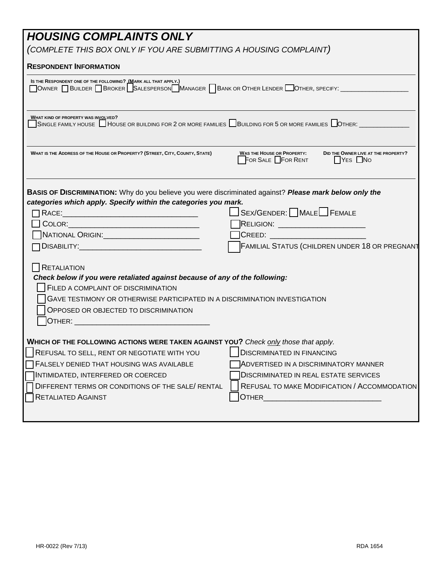| <b>HOUSING COMPLAINTS ONLY</b><br>(COMPLETE THIS BOX ONLY IF YOU ARE SUBMITTING A HOUSING COMPLAINT)                                                                                                                                                                                                                                                                                                                                                                                                                                                                                                                                               |  |  |  |  |  |
|----------------------------------------------------------------------------------------------------------------------------------------------------------------------------------------------------------------------------------------------------------------------------------------------------------------------------------------------------------------------------------------------------------------------------------------------------------------------------------------------------------------------------------------------------------------------------------------------------------------------------------------------------|--|--|--|--|--|
| <b>RESPONDENT INFORMATION</b>                                                                                                                                                                                                                                                                                                                                                                                                                                                                                                                                                                                                                      |  |  |  |  |  |
| IS THE RESPONDENT ONE OF THE FOLLOWING? IMARK ALL THAT APPLY.)<br>OWNER BUILDER BROKER SALESPERSON MANAGER BANK OR OTHER LENDER OTHER, SPECIFY:                                                                                                                                                                                                                                                                                                                                                                                                                                                                                                    |  |  |  |  |  |
| WHAT KIND OF PROPERTY WAS INVOLVED?<br>SINGLE FAMILY HOUSE $\Box$ HOUSE OR BUILDING FOR 2 OR MORE FAMILIES $\Box$ BUILDING FOR 5 OR MORE FAMILIES $\Box$ OTHER: $\Box$                                                                                                                                                                                                                                                                                                                                                                                                                                                                             |  |  |  |  |  |
| WHAT IS THE ADDRESS OF THE HOUSE OR PROPERTY? (STREET, CITY, COUNTY, STATE)<br><b>WAS THE HOUSE OR PROPERTY:</b><br>DID THE OWNER LIVE AT THE PROPERTY?<br>FOR SALE $\Box$ FOR RENT<br>$ $ Yes $\Box$ No                                                                                                                                                                                                                                                                                                                                                                                                                                           |  |  |  |  |  |
| BASIS OF DISCRIMINATION: Why do you believe you were discriminated against? Please mark below only the<br>categories which apply. Specify within the categories you mark.<br>SEX/GENDER: MALE FEMALE<br><b>RELIGION:</b> __________________________<br>NATIONAL ORIGIN:________________________<br>]Creed: ___________<br><b>FAMILIAL STATUS (CHILDREN UNDER 18 OR PREGNANT</b><br><b>RETALIATION</b><br>Check below if you were retaliated against because of any of the following:<br>FILED A COMPLAINT OF DISCRIMINATION<br>GAVE TESTIMONY OR OTHERWISE PARTICIPATED IN A DISCRIMINATION INVESTIGATION<br>OPPOSED OR OBJECTED TO DISCRIMINATION |  |  |  |  |  |
| WHICH OF THE FOLLOWING ACTIONS WERE TAKEN AGAINST YOU? Check only those that apply.<br>REFUSAL TO SELL, RENT OR NEGOTIATE WITH YOU<br><b>DISCRIMINATED IN FINANCING</b><br>FALSELY DENIED THAT HOUSING WAS AVAILABLE<br>ADVERTISED IN A DISCRIMINATORY MANNER<br>INTIMIDATED, INTERFERED OR COERCED<br><b>DISCRIMINATED IN REAL ESTATE SERVICES</b><br>REFUSAL TO MAKE MODIFICATION / ACCOMMODATION<br>DIFFERENT TERMS OR CONDITIONS OF THE SALE/ RENTAL<br><b>RETALIATED AGAINST</b><br><b>OTHER</b>                                                                                                                                              |  |  |  |  |  |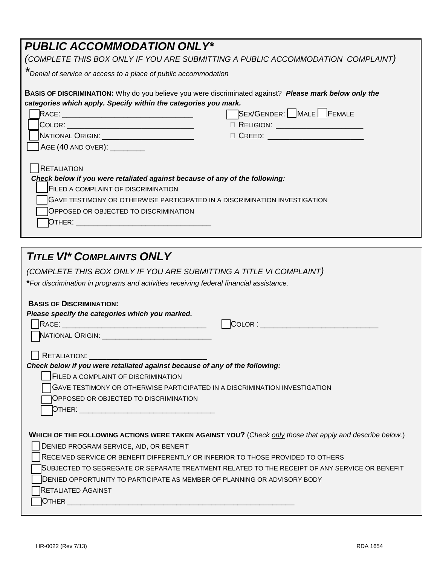| <b>PUBLIC ACCOMMODATION ONLY*</b>                                                                                                                                                                                                                                      |  |  |  |  |  |
|------------------------------------------------------------------------------------------------------------------------------------------------------------------------------------------------------------------------------------------------------------------------|--|--|--|--|--|
| (COMPLETE THIS BOX ONLY IF YOU ARE SUBMITTING A PUBLIC ACCOMMODATION COMPLAINT)                                                                                                                                                                                        |  |  |  |  |  |
| *Denial of service or access to a place of public accommodation                                                                                                                                                                                                        |  |  |  |  |  |
| <b>BASIS OF DISCRIMINATION:</b> Why do you believe you were discriminated against? Please mark below only the                                                                                                                                                          |  |  |  |  |  |
| categories which apply. Specify within the categories you mark.                                                                                                                                                                                                        |  |  |  |  |  |
| SEX/GENDER: MALE FEMALE                                                                                                                                                                                                                                                |  |  |  |  |  |
| COLOR: ___________________________________<br>□ RELIGION: _________________________                                                                                                                                                                                    |  |  |  |  |  |
| NATIONAL ORIGIN: _________________________                                                                                                                                                                                                                             |  |  |  |  |  |
| $\sqrt{\text{AGE} (40 \text{ AND OVER}) : \_\_\_\_\_\_\_\_C}$                                                                                                                                                                                                          |  |  |  |  |  |
| <b>RETALIATION</b><br>Check below if you were retaliated against because of any of the following:<br><b>FILED A COMPLAINT OF DISCRIMINATION</b><br>GAVE TESTIMONY OR OTHERWISE PARTICIPATED IN A DISCRIMINATION INVESTIGATION<br>OPPOSED OR OBJECTED TO DISCRIMINATION |  |  |  |  |  |
|                                                                                                                                                                                                                                                                        |  |  |  |  |  |
| <b>TITLE VI* COMPLAINTS ONLY</b>                                                                                                                                                                                                                                       |  |  |  |  |  |

| <b>TITLE VI* COMPLAINTS ONLY</b>                                                                         |
|----------------------------------------------------------------------------------------------------------|
| (COMPLETE THIS BOX ONLY IF YOU ARE SUBMITTING A TITLE VI COMPLAINT)                                      |
| *For discrimination in programs and activities receiving federal financial assistance.                   |
| <b>BASIS OF DISCRIMINATION:</b>                                                                          |
| Please specify the categories which you marked.                                                          |
|                                                                                                          |
| NATIONAL ORIGIN: _______________________________                                                         |
|                                                                                                          |
|                                                                                                          |
| Check below if you were retaliated against because of any of the following:                              |
| <b>FILED A COMPLAINT OF DISCRIMINATION</b>                                                               |
| GAVE TESTIMONY OR OTHERWISE PARTICIPATED IN A DISCRIMINATION INVESTIGATION                               |
| OPPOSED OR OBJECTED TO DISCRIMINATION                                                                    |
|                                                                                                          |
|                                                                                                          |
| WHICH OF THE FOLLOWING ACTIONS WERE TAKEN AGAINST YOU? (Check only those that apply and describe below.) |
| DENIED PROGRAM SERVICE, AID, OR BENEFIT                                                                  |
| RECEIVED SERVICE OR BENEFIT DIFFERENTLY OR INFERIOR TO THOSE PROVIDED TO OTHERS                          |
| SUBJECTED TO SEGREGATE OR SEPARATE TREATMENT RELATED TO THE RECEIPT OF ANY SERVICE OR BENEFIT            |
| DENIED OPPORTUNITY TO PARTICIPATE AS MEMBER OF PLANNING OR ADVISORY BODY                                 |
| <b>RETALIATED AGAINST</b>                                                                                |
|                                                                                                          |
|                                                                                                          |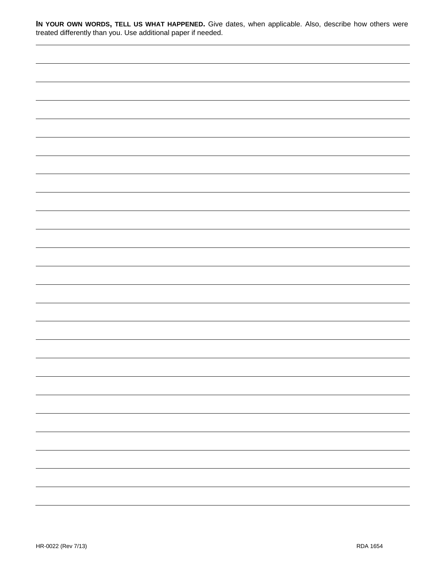| In YOUR OWN WORDS, TELL US WHAT HAPPENED. Give dates, when applicable. Also, describe how others were |  |  |  |
|-------------------------------------------------------------------------------------------------------|--|--|--|
| treated differently than you. Use additional paper if needed.                                         |  |  |  |

|  | - |
|--|---|
|  |   |
|  | - |
|  | - |
|  |   |
|  |   |
|  |   |
|  |   |
|  |   |
|  |   |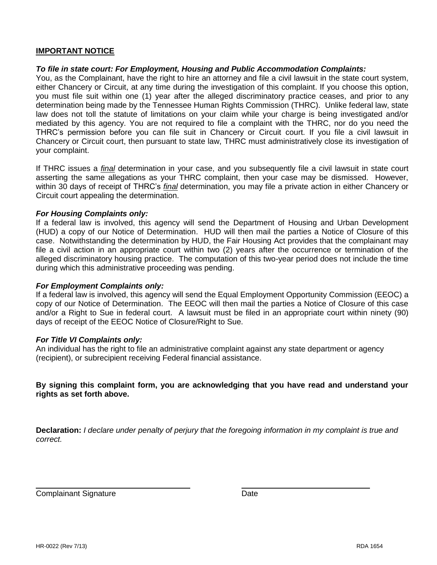# **IMPORTANT NOTICE**

# *To file in state court: For Employment, Housing and Public Accommodation Complaints:*

You, as the Complainant, have the right to hire an attorney and file a civil lawsuit in the state court system, either Chancery or Circuit, at any time during the investigation of this complaint. If you choose this option, you must file suit within one (1) year after the alleged discriminatory practice ceases, and prior to any determination being made by the Tennessee Human Rights Commission (THRC). Unlike federal law, state law does not toll the statute of limitations on your claim while your charge is being investigated and/or mediated by this agency. You are not required to file a complaint with the THRC, nor do you need the THRC's permission before you can file suit in Chancery or Circuit court. If you file a civil lawsuit in Chancery or Circuit court, then pursuant to state law, THRC must administratively close its investigation of your complaint.

If THRC issues a *final* determination in your case, and you subsequently file a civil lawsuit in state court asserting the same allegations as your THRC complaint, then your case may be dismissed. However, within 30 days of receipt of THRC's *final* determination, you may file a private action in either Chancery or Circuit court appealing the determination.

## *For Housing Complaints only:*

If a federal law is involved, this agency will send the Department of Housing and Urban Development (HUD) a copy of our Notice of Determination. HUD will then mail the parties a Notice of Closure of this case. Notwithstanding the determination by HUD, the Fair Housing Act provides that the complainant may file a civil action in an appropriate court within two (2) years after the occurrence or termination of the alleged discriminatory housing practice. The computation of this two-year period does not include the time during which this administrative proceeding was pending.

#### *For Employment Complaints only:*

If a federal law is involved, this agency will send the Equal Employment Opportunity Commission (EEOC) a copy of our Notice of Determination. The EEOC will then mail the parties a Notice of Closure of this case and/or a Right to Sue in federal court. A lawsuit must be filed in an appropriate court within ninety (90) days of receipt of the EEOC Notice of Closure/Right to Sue.

## *For Title VI Complaints only:*

An individual has the right to file an administrative complaint against any state department or agency (recipient), or subrecipient receiving Federal financial assistance.

**By signing this complaint form, you are acknowledging that you have read and understand your rights as set forth above.**

**Declaration:** *I declare under penalty of perjury that the foregoing information in my complaint is true and correct.*

**Complainant Signature Complainant Signature** Date